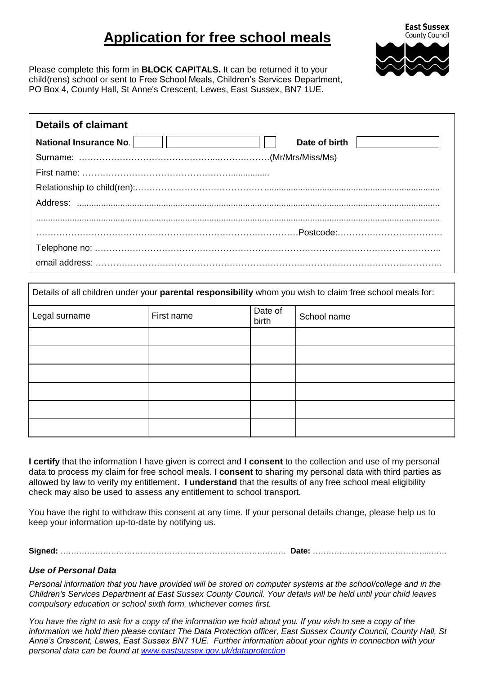## **Application for free school meals**



Please complete this form in **BLOCK CAPITALS.** It can be returned it to your child(rens) school or sent to Free School Meals, Children's Services Department, PO Box 4, County Hall, St Anne's Crescent, Lewes, East Sussex, BN7 1UE.

| <b>Details of claimant</b>    |               |
|-------------------------------|---------------|
| <b>National Insurance No.</b> | Date of birth |
|                               |               |
|                               |               |
|                               |               |
|                               |               |
|                               |               |
|                               |               |
|                               |               |
|                               |               |

| Details of all children under your parental responsibility whom you wish to claim free school meals for: |            |                  |             |  |
|----------------------------------------------------------------------------------------------------------|------------|------------------|-------------|--|
| Legal surname                                                                                            | First name | Date of<br>birth | School name |  |
|                                                                                                          |            |                  |             |  |
|                                                                                                          |            |                  |             |  |
|                                                                                                          |            |                  |             |  |
|                                                                                                          |            |                  |             |  |
|                                                                                                          |            |                  |             |  |
|                                                                                                          |            |                  |             |  |

**I certify** that the information I have given is correct and **I consent** to the collection and use of my personal data to process my claim for free school meals. **I consent** to sharing my personal data with third parties as allowed by law to verify my entitlement. **I understand** that the results of any free school meal eligibility check may also be used to assess any entitlement to school transport.

You have the right to withdraw this consent at any time. If your personal details change, please help us to keep your information up-to-date by notifying us.

**Signed:** ………………………………………………………………….……… **Date:** ……………………………………...……

## *Use of Personal Data*

*Personal information that you have provided will be stored on computer systems at the school/college and in the Children's Services Department at East Sussex County Council. Your details will be held until your child leaves compulsory education or school sixth form, whichever comes first.* 

*You have the right to ask for a copy of the information we hold about you. If you wish to see a copy of the information we hold then please contact The Data Protection officer, East Sussex County Council, County Hall, St Anne's Crescent, Lewes, East Sussex BN7 1UE. Further information about your rights in connection with your personal data can be found at [www.eastsussex.gov.uk/dataprotection](http://www.eastsussex.gov.uk/dataprotection)*